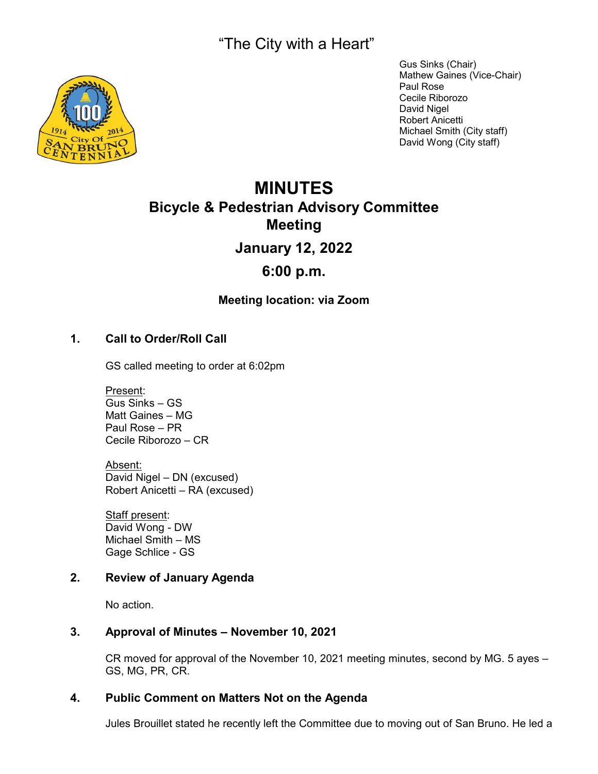"The City with a Heart"



Gus Sinks (Chair) Mathew Gaines (Vice-Chair) Paul Rose Cecile Riborozo David Nigel Robert Anicetti Michael Smith (City staff) David Wong (City staff)

# **MINUTES Bicycle & Pedestrian Advisory Committee Meeting January 12, 2022**

## **6:00 p.m.**

**Meeting location: via Zoom**

## **1. Call to Order/Roll Call**

GS called meeting to order at 6:02pm

Present: Gus Sinks – GS Matt Gaines – MG Paul Rose – PR Cecile Riborozo – CR

Absent: David Nigel – DN (excused) Robert Anicetti – RA (excused)

Staff present: David Wong - DW Michael Smith – MS Gage Schlice - GS

### **2. Review of January Agenda**

No action.

#### **3. Approval of Minutes – November 10, 2021**

CR moved for approval of the November 10, 2021 meeting minutes, second by MG. 5 ayes – GS, MG, PR, CR.

#### **4. Public Comment on Matters Not on the Agenda**

Jules Brouillet stated he recently left the Committee due to moving out of San Bruno. He led a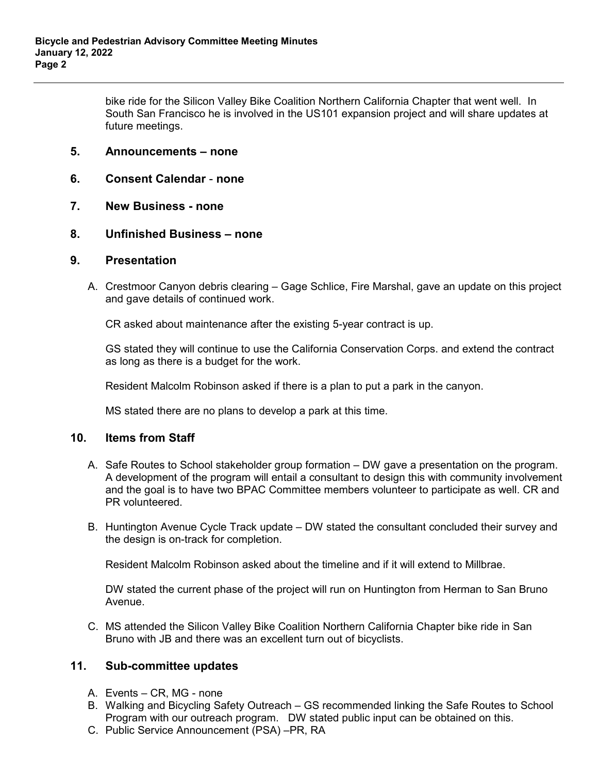bike ride for the Silicon Valley Bike Coalition Northern California Chapter that went well. In South San Francisco he is involved in the US101 expansion project and will share updates at future meetings.

#### **5. Announcements – none**

- **6. Consent Calendar none**
- **7. New Business none**
- **8. Unfinished Business none**

#### **9. Presentation**

A. Crestmoor Canyon debris clearing – Gage Schlice, Fire Marshal, gave an update on this project and gave details of continued work.

CR asked about maintenance after the existing 5-year contract is up.

GS stated they will continue to use the California Conservation Corps. and extend the contract as long as there is a budget for the work.

Resident Malcolm Robinson asked if there is a plan to put a park in the canyon.

MS stated there are no plans to develop a park at this time.

#### **10. Items from Staff**

- A. Safe Routes to School stakeholder group formation DW gave a presentation on the program. A development of the program will entail a consultant to design this with community involvement and the goal is to have two BPAC Committee members volunteer to participate as well. CR and PR volunteered.
- B. Huntington Avenue Cycle Track update DW stated the consultant concluded their survey and the design is on-track for completion.

Resident Malcolm Robinson asked about the timeline and if it will extend to Millbrae.

DW stated the current phase of the project will run on Huntington from Herman to San Bruno Avenue.

C. MS attended the Silicon Valley Bike Coalition Northern California Chapter bike ride in San Bruno with JB and there was an excellent turn out of bicyclists.

#### **11. Sub-committee updates**

- A. Events CR, MG none
- B. Walking and Bicycling Safety Outreach GS recommended linking the Safe Routes to School Program with our outreach program. DW stated public input can be obtained on this.
- C. Public Service Announcement (PSA) –PR, RA